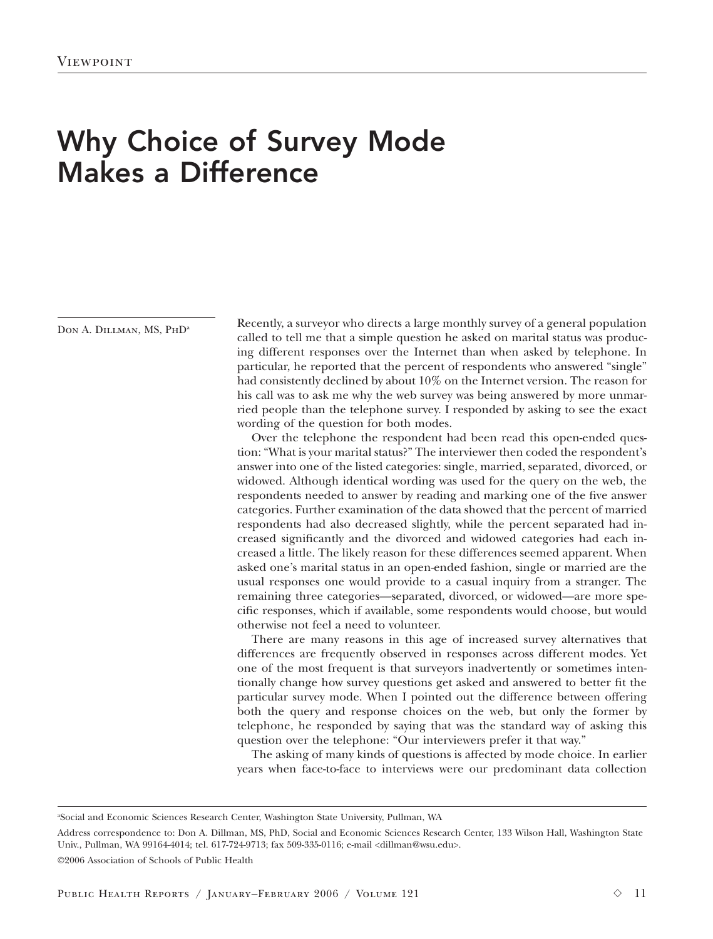## Why Choice of Survey Mode Makes a Difference

DON A. DILLMAN, MS, PHD<sup>a</sup>

Recently, a surveyor who directs a large monthly survey of a general population called to tell me that a simple question he asked on marital status was producing different responses over the Internet than when asked by telephone. In particular, he reported that the percent of respondents who answered "single" had consistently declined by about 10% on the Internet version. The reason for his call was to ask me why the web survey was being answered by more unmarried people than the telephone survey. I responded by asking to see the exact wording of the question for both modes.

Over the telephone the respondent had been read this open-ended question: "What is your marital status?" The interviewer then coded the respondent's answer into one of the listed categories: single, married, separated, divorced, or widowed. Although identical wording was used for the query on the web, the respondents needed to answer by reading and marking one of the five answer categories. Further examination of the data showed that the percent of married respondents had also decreased slightly, while the percent separated had increased significantly and the divorced and widowed categories had each increased a little. The likely reason for these differences seemed apparent. When asked one's marital status in an open-ended fashion, single or married are the usual responses one would provide to a casual inquiry from a stranger. The remaining three categories—separated, divorced, or widowed—are more specific responses, which if available, some respondents would choose, but would otherwise not feel a need to volunteer.

There are many reasons in this age of increased survey alternatives that differences are frequently observed in responses across different modes. Yet one of the most frequent is that surveyors inadvertently or sometimes intentionally change how survey questions get asked and answered to better fit the particular survey mode. When I pointed out the difference between offering both the query and response choices on the web, but only the former by telephone, he responded by saying that was the standard way of asking this question over the telephone: "Our interviewers prefer it that way."

The asking of many kinds of questions is affected by mode choice. In earlier years when face-to-face to interviews were our predominant data collection

Address correspondence to: Don A. Dillman, MS, PhD, Social and Economic Sciences Research Center, 133 Wilson Hall, Washington State Univ., Pullman, WA 99164-4014; tel. 617-724-9713; fax 509-335-0116; e-mail <dillman@wsu.edu>.

©2006 Association of Schools of Public Health

a Social and Economic Sciences Research Center, Washington State University, Pullman, WA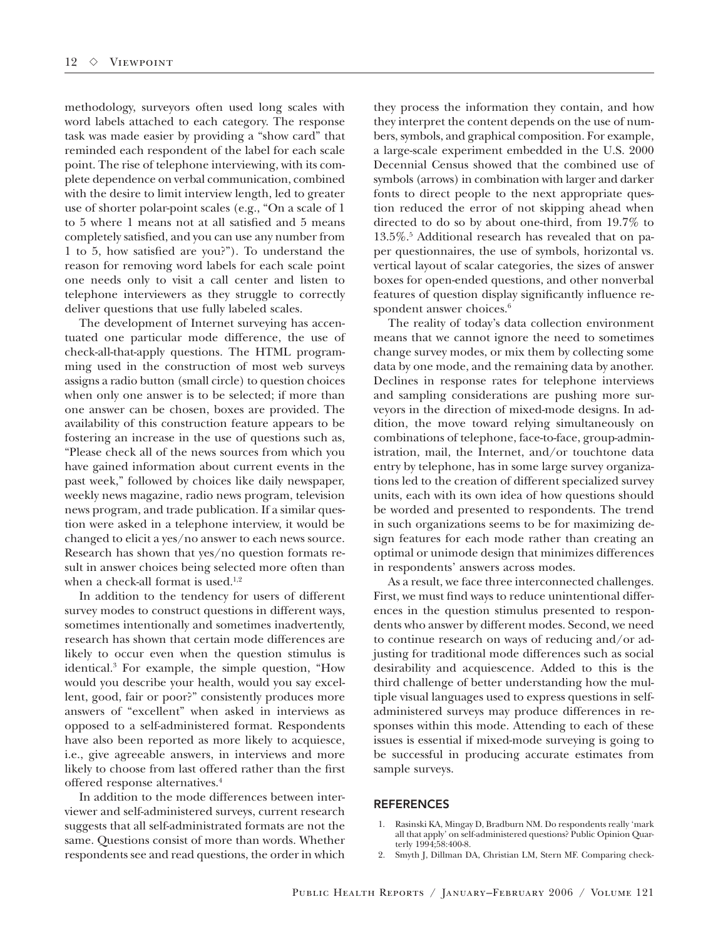methodology, surveyors often used long scales with word labels attached to each category. The response task was made easier by providing a "show card" that reminded each respondent of the label for each scale point. The rise of telephone interviewing, with its complete dependence on verbal communication, combined with the desire to limit interview length, led to greater use of shorter polar-point scales (e.g., "On a scale of 1 to 5 where 1 means not at all satisfied and 5 means completely satisfied, and you can use any number from 1 to 5, how satisfied are you?"). To understand the reason for removing word labels for each scale point one needs only to visit a call center and listen to telephone interviewers as they struggle to correctly deliver questions that use fully labeled scales.

The development of Internet surveying has accentuated one particular mode difference, the use of check-all-that-apply questions. The HTML programming used in the construction of most web surveys assigns a radio button (small circle) to question choices when only one answer is to be selected; if more than one answer can be chosen, boxes are provided. The availability of this construction feature appears to be fostering an increase in the use of questions such as, "Please check all of the news sources from which you have gained information about current events in the past week," followed by choices like daily newspaper, weekly news magazine, radio news program, television news program, and trade publication. If a similar question were asked in a telephone interview, it would be changed to elicit a yes/no answer to each news source. Research has shown that yes/no question formats result in answer choices being selected more often than when a check-all format is used.<sup>1,2</sup>

In addition to the tendency for users of different survey modes to construct questions in different ways, sometimes intentionally and sometimes inadvertently, research has shown that certain mode differences are likely to occur even when the question stimulus is identical.3 For example, the simple question, "How would you describe your health, would you say excellent, good, fair or poor?" consistently produces more answers of "excellent" when asked in interviews as opposed to a self-administered format. Respondents have also been reported as more likely to acquiesce, i.e., give agreeable answers, in interviews and more likely to choose from last offered rather than the first offered response alternatives.4

In addition to the mode differences between interviewer and self-administered surveys, current research suggests that all self-administrated formats are not the same. Questions consist of more than words. Whether respondents see and read questions, the order in which they process the information they contain, and how they interpret the content depends on the use of numbers, symbols, and graphical composition. For example, a large-scale experiment embedded in the U.S. 2000 Decennial Census showed that the combined use of symbols (arrows) in combination with larger and darker fonts to direct people to the next appropriate question reduced the error of not skipping ahead when directed to do so by about one-third, from 19.7% to 13.5%.5 Additional research has revealed that on paper questionnaires, the use of symbols, horizontal vs. vertical layout of scalar categories, the sizes of answer boxes for open-ended questions, and other nonverbal features of question display significantly influence respondent answer choices.<sup>6</sup>

The reality of today's data collection environment means that we cannot ignore the need to sometimes change survey modes, or mix them by collecting some data by one mode, and the remaining data by another. Declines in response rates for telephone interviews and sampling considerations are pushing more surveyors in the direction of mixed-mode designs. In addition, the move toward relying simultaneously on combinations of telephone, face-to-face, group-administration, mail, the Internet, and/or touchtone data entry by telephone, has in some large survey organizations led to the creation of different specialized survey units, each with its own idea of how questions should be worded and presented to respondents. The trend in such organizations seems to be for maximizing design features for each mode rather than creating an optimal or unimode design that minimizes differences in respondents' answers across modes.

As a result, we face three interconnected challenges. First, we must find ways to reduce unintentional differences in the question stimulus presented to respondents who answer by different modes. Second, we need to continue research on ways of reducing and/or adjusting for traditional mode differences such as social desirability and acquiescence. Added to this is the third challenge of better understanding how the multiple visual languages used to express questions in selfadministered surveys may produce differences in responses within this mode. Attending to each of these issues is essential if mixed-mode surveying is going to be successful in producing accurate estimates from sample surveys.

## REFERENCES

- 1. Rasinski KA, Mingay D, Bradburn NM. Do respondents really 'mark all that apply' on self-administered questions? Public Opinion Quarterly 1994;58:400-8.
- 2. Smyth J, Dillman DA, Christian LM, Stern MF. Comparing check-